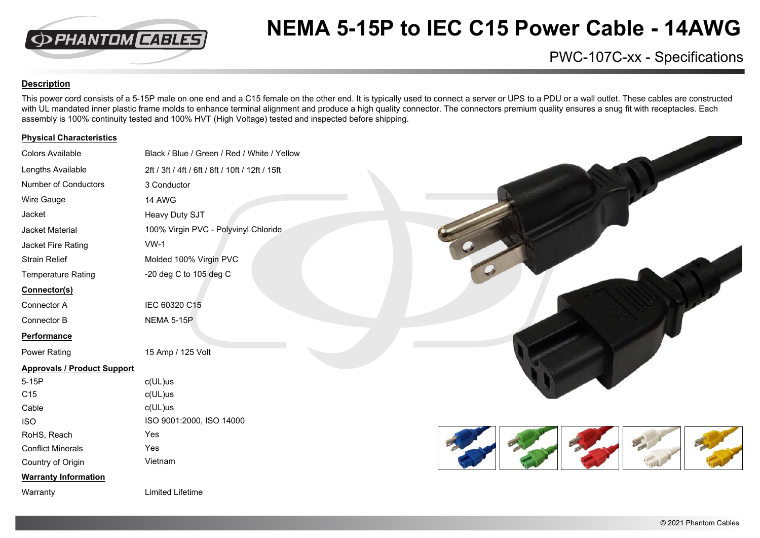

# **NEMA 5-15P to IEC C15 Power Cable - 14AWG**

PWC-107C-xx - Specifications

### **Description**

This power cord consists of a 5-15P male on one end and a C15 female on the other end. It is typically used to connect a server or UPS to a PDU or a wall outlet. These cables are constructed with UL mandated inner plastic frame molds to enhance terminal alignment and produce a high quality connector. The connectors premium quality ensures a snug fit with receptacles. Each assembly is 100% continuity tested and 100% HVT (High Voltage) tested and inspected before shipping.

#### **Physical Characteristics**

| Colors Available                   | Black / Blue / Green / Red / White / Yellow      |  |  |  |
|------------------------------------|--------------------------------------------------|--|--|--|
| Lengths Available                  | 2ft / 3ft / 4ft / 6ft / 8ft / 10ft / 12ft / 15ft |  |  |  |
| Number of Conductors               | 3 Conductor                                      |  |  |  |
| Wire Gauge                         | <b>14 AWG</b>                                    |  |  |  |
| Jacket                             | Heavy Duty SJT                                   |  |  |  |
| Jacket Material                    | 100% Virgin PVC - Polyvinyl Chloride             |  |  |  |
| Jacket Fire Rating                 | $VW-1$                                           |  |  |  |
| <b>Strain Relief</b>               | Molded 100% Virgin PVC                           |  |  |  |
| Temperature Rating                 | -20 deg C to 105 deg C                           |  |  |  |
| Connector(s)                       |                                                  |  |  |  |
| Connector A                        | IEC 60320 C15                                    |  |  |  |
| Connector B                        | NEMA 5-15P                                       |  |  |  |
| <b>Performance</b>                 |                                                  |  |  |  |
| <b>Power Rating</b>                | 15 Amp / 125 Volt                                |  |  |  |
| <b>Approvals / Product Support</b> |                                                  |  |  |  |
| $5-15P$                            | $c(UL)$ us                                       |  |  |  |
| C15                                | c(UL)us                                          |  |  |  |
| Cable                              | c(UL)us                                          |  |  |  |
| <b>ISO</b>                         | ISO 9001:2000, ISO 14000                         |  |  |  |
| RoHS, Reach                        | Yes                                              |  |  |  |
| <b>Conflict Minerals</b>           | Yes                                              |  |  |  |
| Country of Origin                  | Vietnam                                          |  |  |  |
| <b>Warranty Information</b>        |                                                  |  |  |  |
| Warranty                           | <b>Limited Lifetime</b>                          |  |  |  |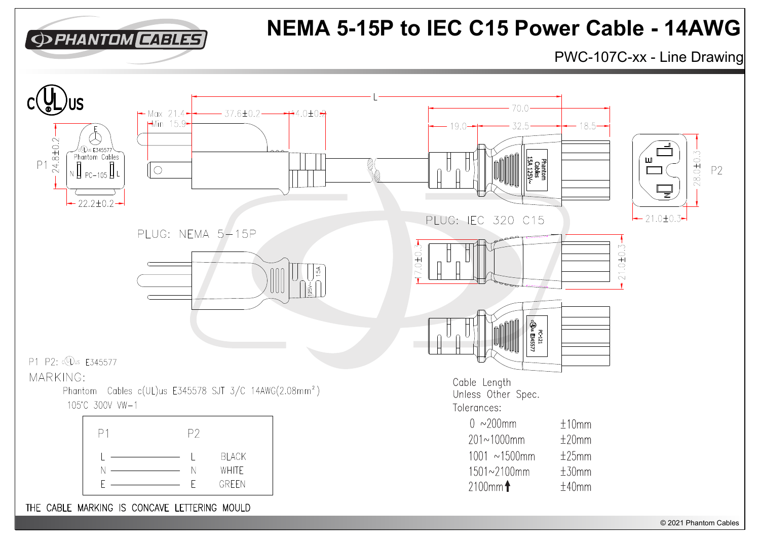

## **NEMA 5-15P to IEC C15 Power Cable - 14AWG**

PWC-107C-xx - Line Drawing



THE CABLE MARKING IS CONCAVE LETTERING MOULD